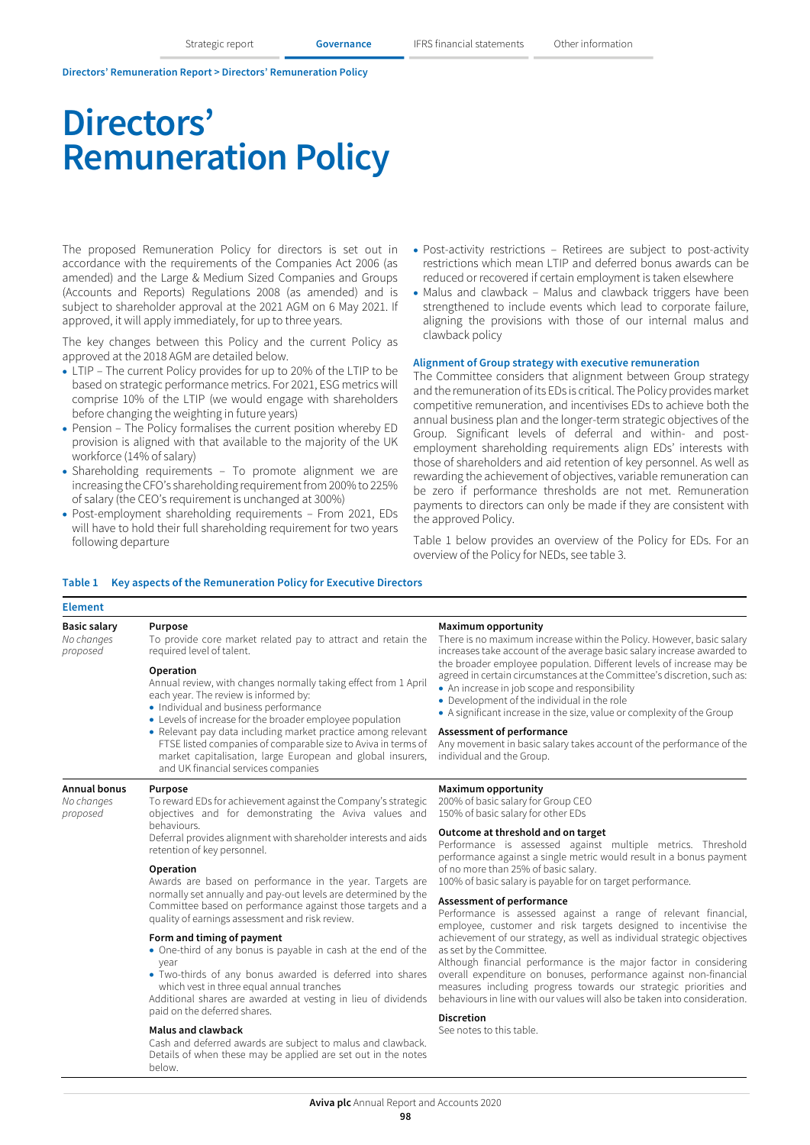# **Directors' Remuneration Policy**

The proposed Remuneration Policy for directors is set out in accordance with the requirements of the Companies Act 2006 (as amended) and the Large & Medium Sized Companies and Groups (Accounts and Reports) Regulations 2008 (as amended) and is subject to shareholder approval at the 2021 AGM on 6 May 2021. If approved, it will apply immediately, for up to three years.

The key changes between this Policy and the current Policy as approved at the 2018 AGM are detailed below.

- LTIP The current Policy provides for up to 20% of the LTIP to be based on strategic performance metrics. For 2021, ESG metrics will comprise 10% of the LTIP (we would engage with shareholders before changing the weighting in future years)
- Pension The Policy formalises the current position whereby ED provision is aligned with that available to the majority of the UK workforce (14% of salary)
- Shareholding requirements To promote alignment we are increasing the CFO's shareholding requirement from 200% to 225% of salary (the CEO's requirement is unchanged at 300%)
- Post-employment shareholding requirements From 2021, EDs will have to hold their full shareholding requirement for two years following departure
- Post-activity restrictions Retirees are subject to post-activity restrictions which mean LTIP and deferred bonus awards can be reduced or recovered if certain employment is taken elsewhere
- Malus and clawback Malus and clawback triggers have been strengthened to include events which lead to corporate failure, aligning the provisions with those of our internal malus and clawback policy

### **Alignment of Group strategy with executive remuneration**

The Committee considers that alignment between Group strategy and the remuneration of its EDs is critical. The Policy provides market competitive remuneration, and incentivises EDs to achieve both the annual business plan and the longer-term strategic objectives of the Group. Significant levels of deferral and within- and postemployment shareholding requirements align EDs' interests with those of shareholders and aid retention of key personnel. As well as rewarding the achievement of objectives, variable remuneration can be zero if performance thresholds are not met. Remuneration payments to directors can only be made if they are consistent with the approved Policy.

Table 1 below provides an overview of the Policy for EDs. For an overview of the Policy for NEDs, see table 3.

### **Table 1 Key aspects of the Remuneration Policy for Executive Directors**

# **Element**

| <b>Basic salary</b><br>No changes<br>proposed | Purpose<br>To provide core market related pay to attract and retain the<br>required level of talent.                                                                                                                                                                                                                                                                                                                                                             |  |  |  |  |
|-----------------------------------------------|------------------------------------------------------------------------------------------------------------------------------------------------------------------------------------------------------------------------------------------------------------------------------------------------------------------------------------------------------------------------------------------------------------------------------------------------------------------|--|--|--|--|
|                                               | Operation<br>Annual review, with changes normally taking effect from 1 April<br>each year. The review is informed by:<br>• Individual and business performance<br>• Levels of increase for the broader employee population<br>• Relevant pay data including market practice among relevant<br>FTSE listed companies of comparable size to Aviva in terms of<br>market capitalisation, large European and global insurers,<br>and UK financial services companies |  |  |  |  |
| <b>Annual bonus</b><br>No changes<br>proposed | Purpose<br>To reward EDs for achievement against the Company's strategic<br>objectives and for demonstrating the Aviva values and<br>behaviours.<br>Deferral provides alignment with shareholder interests and aids<br>retention of key personnel.                                                                                                                                                                                                               |  |  |  |  |
|                                               | Operation<br>Awards are based on performance in the year. Targets are<br>normally set annually and pay-out levels are determined by the<br>Committee based on performance against those targets and a<br>quality of earnings assessment and risk review.                                                                                                                                                                                                         |  |  |  |  |
|                                               | Form and timing of payment<br>• One-third of any bonus is payable in cash at the end of the<br>vear                                                                                                                                                                                                                                                                                                                                                              |  |  |  |  |

- year
- Two-thirds of any bonus awarded is deferred into shares which vest in three equal annual tranches

Additional shares are awarded at vesting in lieu of dividends paid on the deferred shares.

#### **Malus and clawback**

Cash and deferred awards are subject to malus and clawback. Details of when these may be applied are set out in the notes below.

#### **Maximum opportunity**

There is no maximum increase within the Policy. However, basic salary increases take account of the average basic salary increase awarded to the broader employee population. Different levels of increase may be agreed in certain circumstances at the Committee's discretion, such as:

- An increase in job scope and responsibility
- Development of the individual in the role
- A significant increase in the size, value or complexity of the Group

#### **Assessment of performance**

Any movement in basic salary takes account of the performance of the individual and the Group.

#### **Maximum opportunity**

200% of basic salary for Group CEO 150% of basic salary for other EDs

#### **Outcome at threshold and on target**

Performance is assessed against multiple metrics. Threshold performance against a single metric would result in a bonus payment of no more than 25% of basic salary.

100% of basic salary is payable for on target performance.

### **Assessment of performance**

Performance is assessed against a range of relevant financial, employee, customer and risk targets designed to incentivise the achievement of our strategy, as well as individual strategic objectives as set by the Committee.

Although financial performance is the major factor in considering overall expenditure on bonuses, performance against non-financial measures including progress towards our strategic priorities and behaviours in line with our values will also be taken into consideration.

#### **Discretion**

See notes to this table.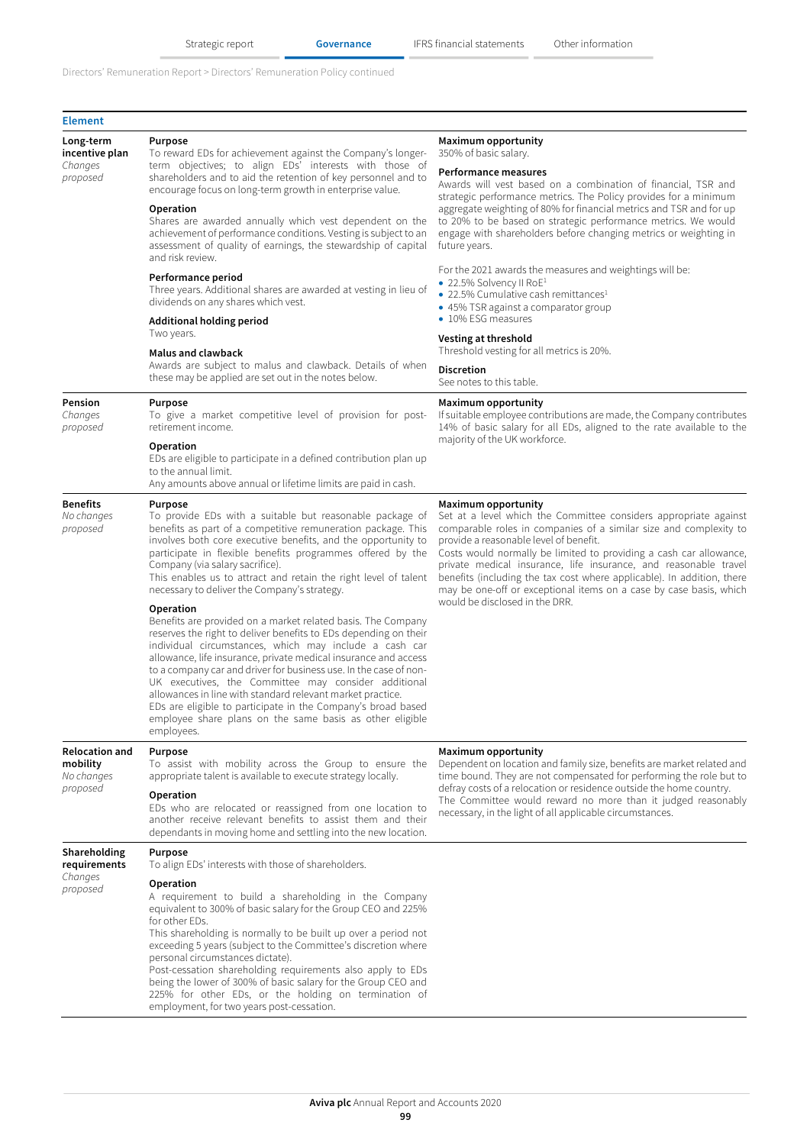| <b>Element</b>                                              |                                                                                                                                                                                                                                                                                                                                                                                                                                                                                                                                                                                                                 |                                                                                                                                                                                                                                                                                                                                                                                                                                                                                                  |  |  |
|-------------------------------------------------------------|-----------------------------------------------------------------------------------------------------------------------------------------------------------------------------------------------------------------------------------------------------------------------------------------------------------------------------------------------------------------------------------------------------------------------------------------------------------------------------------------------------------------------------------------------------------------------------------------------------------------|--------------------------------------------------------------------------------------------------------------------------------------------------------------------------------------------------------------------------------------------------------------------------------------------------------------------------------------------------------------------------------------------------------------------------------------------------------------------------------------------------|--|--|
| Long-term<br>incentive plan<br>Changes<br>proposed          | Purpose<br>To reward EDs for achievement against the Company's longer-<br>term objectives; to align EDs' interests with those of<br>shareholders and to aid the retention of key personnel and to<br>encourage focus on long-term growth in enterprise value.                                                                                                                                                                                                                                                                                                                                                   | Maximum opportunity<br>350% of basic salary.<br><b>Performance measures</b><br>Awards will vest based on a combination of financial, TSR and<br>strategic performance metrics. The Policy provides for a minimum<br>aggregate weighting of 80% for financial metrics and TSR and for up<br>to 20% to be based on strategic performance metrics. We would<br>engage with shareholders before changing metrics or weighting in<br>future years.                                                    |  |  |
|                                                             | Operation<br>Shares are awarded annually which vest dependent on the<br>achievement of performance conditions. Vesting is subject to an<br>assessment of quality of earnings, the stewardship of capital<br>and risk review.                                                                                                                                                                                                                                                                                                                                                                                    |                                                                                                                                                                                                                                                                                                                                                                                                                                                                                                  |  |  |
|                                                             | Performance period<br>Three years. Additional shares are awarded at vesting in lieu of<br>dividends on any shares which vest.                                                                                                                                                                                                                                                                                                                                                                                                                                                                                   | For the 2021 awards the measures and weightings will be:<br>• 22.5% Solvency II RoE <sup>1</sup><br>• 22.5% Cumulative cash remittances <sup>1</sup><br>• 45% TSR against a comparator group                                                                                                                                                                                                                                                                                                     |  |  |
|                                                             | Additional holding period<br>Two years.                                                                                                                                                                                                                                                                                                                                                                                                                                                                                                                                                                         | • 10% ESG measures<br>Vesting at threshold                                                                                                                                                                                                                                                                                                                                                                                                                                                       |  |  |
|                                                             | <b>Malus and clawback</b>                                                                                                                                                                                                                                                                                                                                                                                                                                                                                                                                                                                       | Threshold vesting for all metrics is 20%.                                                                                                                                                                                                                                                                                                                                                                                                                                                        |  |  |
|                                                             | Awards are subject to malus and clawback. Details of when<br>these may be applied are set out in the notes below.                                                                                                                                                                                                                                                                                                                                                                                                                                                                                               | <b>Discretion</b><br>See notes to this table.                                                                                                                                                                                                                                                                                                                                                                                                                                                    |  |  |
| Pension<br>Changes<br>proposed                              | Purpose<br>To give a market competitive level of provision for post-<br>retirement income.                                                                                                                                                                                                                                                                                                                                                                                                                                                                                                                      | <b>Maximum opportunity</b><br>If suitable employee contributions are made, the Company contributes<br>14% of basic salary for all EDs, aligned to the rate available to the<br>majority of the UK workforce.                                                                                                                                                                                                                                                                                     |  |  |
|                                                             | Operation<br>EDs are eligible to participate in a defined contribution plan up<br>to the annual limit.<br>Any amounts above annual or lifetime limits are paid in cash.                                                                                                                                                                                                                                                                                                                                                                                                                                         |                                                                                                                                                                                                                                                                                                                                                                                                                                                                                                  |  |  |
| <b>Benefits</b><br>No changes<br>proposed                   | Purpose<br>To provide EDs with a suitable but reasonable package of<br>benefits as part of a competitive remuneration package. This<br>involves both core executive benefits, and the opportunity to<br>participate in flexible benefits programmes offered by the<br>Company (via salary sacrifice).<br>This enables us to attract and retain the right level of talent<br>necessary to deliver the Company's strategy.                                                                                                                                                                                        | Maximum opportunity<br>Set at a level which the Committee considers appropriate against<br>comparable roles in companies of a similar size and complexity to<br>provide a reasonable level of benefit.<br>Costs would normally be limited to providing a cash car allowance,<br>private medical insurance, life insurance, and reasonable travel<br>benefits (including the tax cost where applicable). In addition, there<br>may be one-off or exceptional items on a case by case basis, which |  |  |
|                                                             | Operation<br>Benefits are provided on a market related basis. The Company<br>reserves the right to deliver benefits to EDs depending on their<br>individual circumstances, which may include a cash car<br>allowance, life insurance, private medical insurance and access<br>to a company car and driver for business use. In the case of non-<br>UK executives, the Committee may consider additional<br>allowances in line with standard relevant market practice.<br>EDs are eligible to participate in the Company's broad based<br>employee share plans on the same basis as other eligible<br>employees. | would be disclosed in the DRR.                                                                                                                                                                                                                                                                                                                                                                                                                                                                   |  |  |
| <b>Relocation and</b><br>mobility<br>No changes<br>proposed | Purpose<br>To assist with mobility across the Group to ensure the<br>appropriate talent is available to execute strategy locally.<br>Operation                                                                                                                                                                                                                                                                                                                                                                                                                                                                  | Maximum opportunity<br>Dependent on location and family size, benefits are market related and<br>time bound. They are not compensated for performing the role but to<br>defray costs of a relocation or residence outside the home country.                                                                                                                                                                                                                                                      |  |  |
|                                                             | EDs who are relocated or reassigned from one location to<br>another receive relevant benefits to assist them and their<br>dependants in moving home and settling into the new location.                                                                                                                                                                                                                                                                                                                                                                                                                         | The Committee would reward no more than it judged reasonably<br>necessary, in the light of all applicable circumstances.                                                                                                                                                                                                                                                                                                                                                                         |  |  |
| Shareholding<br>requirements                                | Purpose<br>To align EDs' interests with those of shareholders.                                                                                                                                                                                                                                                                                                                                                                                                                                                                                                                                                  |                                                                                                                                                                                                                                                                                                                                                                                                                                                                                                  |  |  |
| Changes<br>proposed                                         | Operation<br>A requirement to build a shareholding in the Company<br>equivalent to 300% of basic salary for the Group CEO and 225%<br>for other EDs.<br>This shareholding is normally to be built up over a period not<br>exceeding 5 years (subject to the Committee's discretion where<br>personal circumstances dictate).<br>Post-cessation shareholding requirements also apply to EDs<br>being the lower of 300% of basic salary for the Group CEO and<br>225% for other EDs, or the holding on termination of<br>employment, for two years post-cessation.                                                |                                                                                                                                                                                                                                                                                                                                                                                                                                                                                                  |  |  |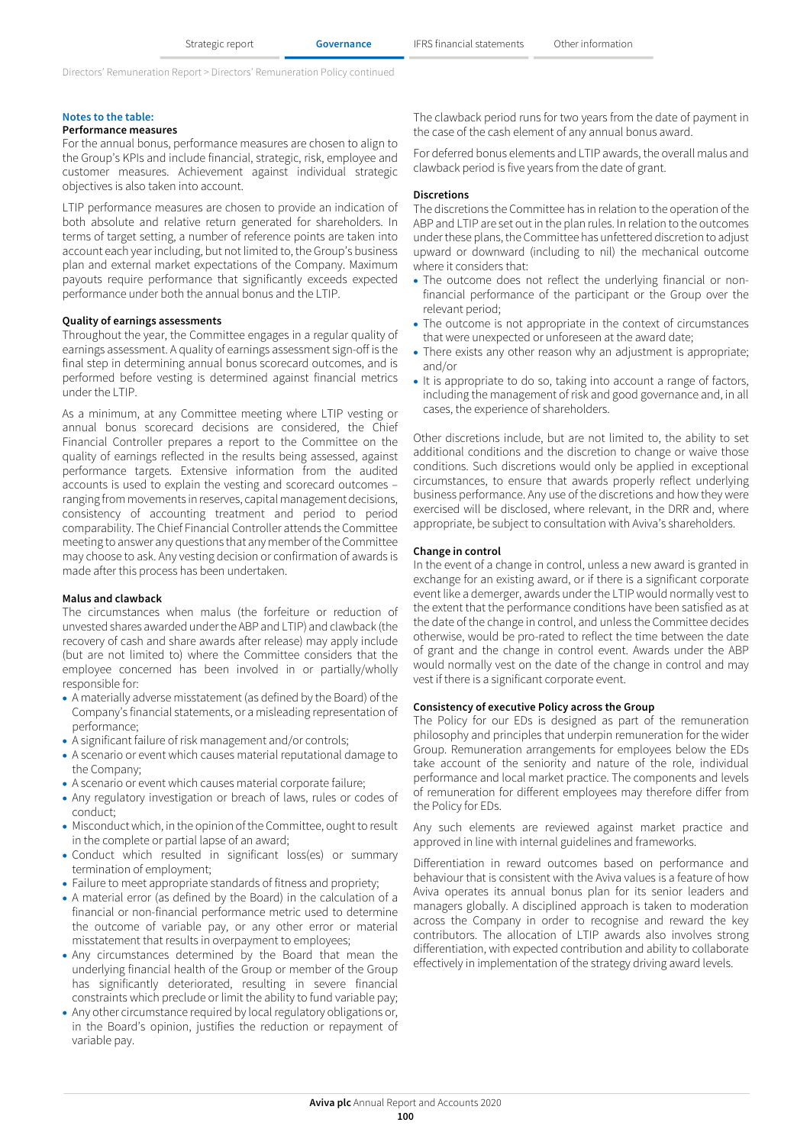## **Notes to the table:**

# **Performance measures**

For the annual bonus, performance measures are chosen to align to the Group's KPIs and include financial, strategic, risk, employee and customer measures. Achievement against individual strategic objectives is also taken into account.

LTIP performance measures are chosen to provide an indication of both absolute and relative return generated for shareholders. In terms of target setting, a number of reference points are taken into account each year including, but not limited to, the Group's business plan and external market expectations of the Company. Maximum payouts require performance that significantly exceeds expected performance under both the annual bonus and the LTIP.

## **Quality of earnings assessments**

Throughout the year, the Committee engages in a regular quality of earnings assessment. A quality of earnings assessment sign-off is the final step in determining annual bonus scorecard outcomes, and is performed before vesting is determined against financial metrics under the LTIP.

As a minimum, at any Committee meeting where LTIP vesting or annual bonus scorecard decisions are considered, the Chief Financial Controller prepares a report to the Committee on the quality of earnings reflected in the results being assessed, against performance targets. Extensive information from the audited accounts is used to explain the vesting and scorecard outcomes – ranging from movements in reserves, capital management decisions, consistency of accounting treatment and period to period comparability. The Chief Financial Controller attends the Committee meeting to answer any questions that any member of the Committee may choose to ask. Any vesting decision or confirmation of awards is made after this process has been undertaken.

#### **Malus and clawback**

The circumstances when malus (the forfeiture or reduction of unvested shares awarded under the ABP and LTIP) and clawback (the recovery of cash and share awards after release) may apply include (but are not limited to) where the Committee considers that the employee concerned has been involved in or partially/wholly responsible for:

- A materially adverse misstatement (as defined by the Board) of the Company's financial statements, or a misleading representation of performance;
- A significant failure of risk management and/or controls;
- A scenario or event which causes material reputational damage to the Company;
- A scenario or event which causes material corporate failure;
- Any regulatory investigation or breach of laws, rules or codes of conduct;
- Misconduct which, in the opinion of the Committee, ought to result in the complete or partial lapse of an award;
- Conduct which resulted in significant loss(es) or summary termination of employment;
- Failure to meet appropriate standards of fitness and propriety;
- A material error (as defined by the Board) in the calculation of a financial or non-financial performance metric used to determine the outcome of variable pay, or any other error or material misstatement that results in overpayment to employees;
- Any circumstances determined by the Board that mean the underlying financial health of the Group or member of the Group has significantly deteriorated, resulting in severe financial constraints which preclude or limit the ability to fund variable pay;
- Any other circumstance required by local regulatory obligations or, in the Board's opinion, justifies the reduction or repayment of variable pay.

The clawback period runs for two years from the date of payment in the case of the cash element of any annual bonus award.

For deferred bonus elements and LTIP awards, the overall malus and clawback period is five years from the date of grant.

#### **Discretions**

The discretions the Committee has in relation to the operation of the ABP and LTIP are set out in the plan rules. In relation to the outcomes underthese plans, the Committee has unfettered discretion to adjust upward or downward (including to nil) the mechanical outcome where it considers that:

- The outcome does not reflect the underlying financial or nonfinancial performance of the participant or the Group over the relevant period;
- The outcome is not appropriate in the context of circumstances that were unexpected or unforeseen at the award date;
- There exists any other reason why an adjustment is appropriate; and/or
- It is appropriate to do so, taking into account a range of factors, including the management of risk and good governance and, in all cases, the experience of shareholders.

Other discretions include, but are not limited to, the ability to set additional conditions and the discretion to change or waive those conditions. Such discretions would only be applied in exceptional circumstances, to ensure that awards properly reflect underlying business performance. Any use of the discretions and how they were exercised will be disclosed, where relevant, in the DRR and, where appropriate, be subject to consultation with Aviva's shareholders.

#### **Change in control**

In the event of a change in control, unless a new award is granted in exchange for an existing award, or if there is a significant corporate event like a demerger, awards under the LTIP would normally vest to the extent that the performance conditions have been satisfied as at the date of the change in control, and unless the Committee decides otherwise, would be pro-rated to reflect the time between the date of grant and the change in control event. Awards under the ABP would normally vest on the date of the change in control and may vest if there is a significant corporate event.

## **Consistency of executive Policy across the Group**

The Policy for our EDs is designed as part of the remuneration philosophy and principles that underpin remuneration for the wider Group. Remuneration arrangements for employees below the EDs take account of the seniority and nature of the role, individual performance and local market practice. The components and levels of remuneration for different employees may therefore differ from the Policy for EDs.

Any such elements are reviewed against market practice and approved in line with internal guidelines and frameworks.

Differentiation in reward outcomes based on performance and behaviour that is consistent with the Aviva values is a feature of how Aviva operates its annual bonus plan for its senior leaders and managers globally. A disciplined approach is taken to moderation across the Company in order to recognise and reward the key contributors. The allocation of LTIP awards also involves strong differentiation, with expected contribution and ability to collaborate effectively in implementation of the strategy driving award levels.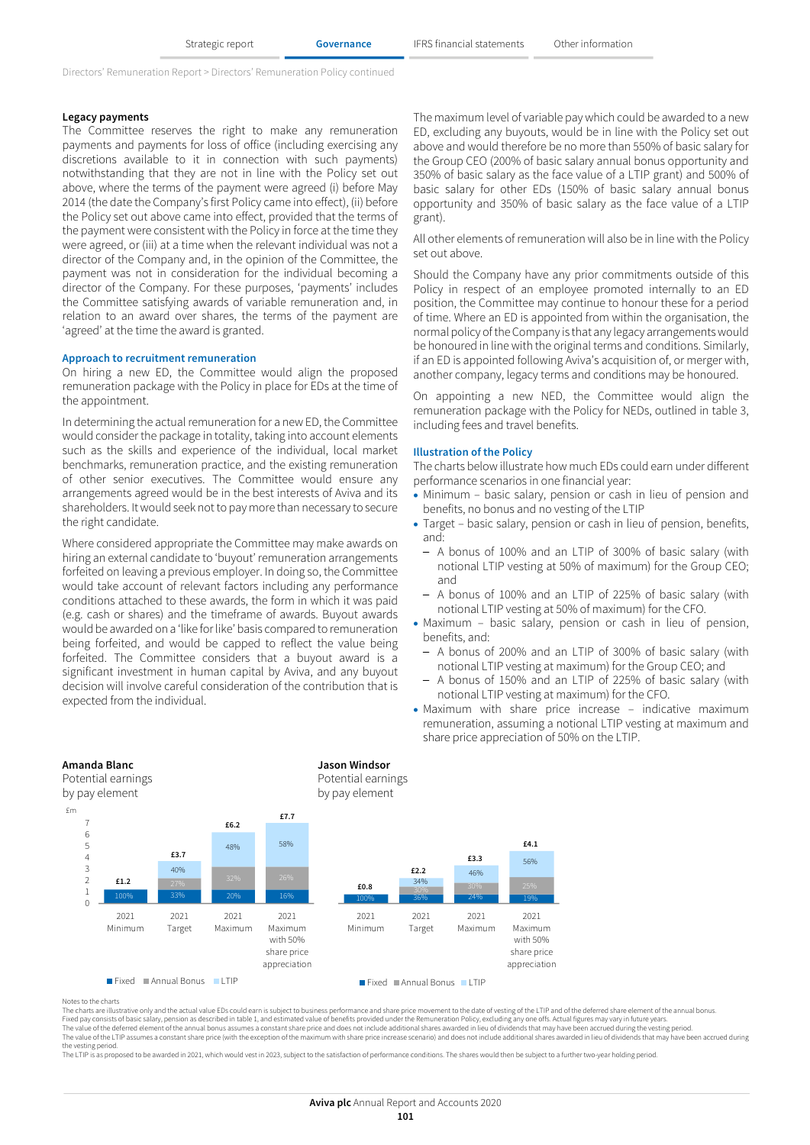#### **Legacy payments**

The Committee reserves the right to make any remuneration payments and payments for loss of office (including exercising any discretions available to it in connection with such payments) notwithstanding that they are not in line with the Policy set out above, where the terms of the payment were agreed (i) before May 2014 (the date the Company's first Policy came into effect), (ii) before the Policy set out above came into effect, provided that the terms of the payment were consistent with the Policy in force at the time they were agreed, or (iii) at a time when the relevant individual was not a director of the Company and, in the opinion of the Committee, the payment was not in consideration for the individual becoming a director of the Company. For these purposes, 'payments' includes the Committee satisfying awards of variable remuneration and, in relation to an award over shares, the terms of the payment are 'agreed' at the time the award is granted.

#### **Approach to recruitment remuneration**

On hiring a new ED, the Committee would align the proposed remuneration package with the Policy in place for EDs at the time of the appointment.

In determining the actual remuneration for a new ED, the Committee would consider the package in totality, taking into account elements such as the skills and experience of the individual, local market benchmarks, remuneration practice, and the existing remuneration of other senior executives. The Committee would ensure any arrangements agreed would be in the best interests of Aviva and its shareholders. It would seek not to pay more than necessary to secure the right candidate.

Where considered appropriate the Committee may make awards on hiring an external candidate to 'buyout' remuneration arrangements forfeited on leaving a previous employer. In doing so, the Committee would take account of relevant factors including any performance conditions attached to these awards, the form in which it was paid (e.g. cash or shares) and the timeframe of awards. Buyout awards would be awarded on a 'like for like' basis compared to remuneration being forfeited, and would be capped to reflect the value being forfeited. The Committee considers that a buyout award is a significant investment in human capital by Aviva, and any buyout decision will involve careful consideration of the contribution that is expected from the individual.

**Amanda Blanc Jason Windsor**

The maximum level of variable pay which could be awarded to a new ED, excluding any buyouts, would be in line with the Policy set out above and would therefore be no more than 550% of basic salary for the Group CEO (200% of basic salary annual bonus opportunity and 350% of basic salary as the face value of a LTIP grant) and 500% of basic salary for other EDs (150% of basic salary annual bonus opportunity and 350% of basic salary as the face value of a LTIP grant).

All other elements of remuneration will also be in line with the Policy set out above.

Should the Company have any prior commitments outside of this Policy in respect of an employee promoted internally to an ED position, the Committee may continue to honour these for a period of time. Where an ED is appointed from within the organisation, the normal policy of the Company is that any legacy arrangements would be honoured in line with the original terms and conditions. Similarly, if an ED is appointed following Aviva's acquisition of, or merger with, another company, legacy terms and conditions may be honoured.

On appointing a new NED, the Committee would align the remuneration package with the Policy for NEDs, outlined in table 3, including fees and travel benefits.

#### **Illustration of the Policy**

The charts below illustrate how much EDs could earn under different performance scenarios in one financial year:

- Minimum basic salary, pension or cash in lieu of pension and benefits, no bonus and no vesting of the LTIP
- Target basic salary, pension or cash in lieu of pension, benefits, and:
	- A bonus of 100% and an LTIP of 300% of basic salary (with notional LTIP vesting at 50% of maximum) for the Group CEO; and
	- A bonus of 100% and an LTIP of 225% of basic salary (with notional LTIP vesting at 50% of maximum) for the CFO.
- Maximum basic salary, pension or cash in lieu of pension, benefits, and:
	- A bonus of 200% and an LTIP of 300% of basic salary (with notional LTIP vesting at maximum) for the Group CEO; and
	- A bonus of 150% and an LTIP of 225% of basic salary (with notional LTIP vesting at maximum) for the CFO.
- Maximum with share price increase indicative maximum remuneration, assuming a notional LTIP vesting at maximum and share price appreciation of 50% on the LTIP.



#### Notes to the charts

The charts are illustrative only and the actual value EDs could earn is subject to business performance and share price movement to the date of vesting of the LTIP and of the deferred share element of the annual bonus<br>Fixe The value of the LTIP assumes a constant share price (with the exception of the maximum with share price increase scenario) and does not include additional shares awarded in lieu of dividends that may have been accrued dur

The LTIP is as proposed to be awarded in 2021, which would vest in 2023, subject to the satisfaction of performance conditions. The shares would then be subject to a further two-year holding period.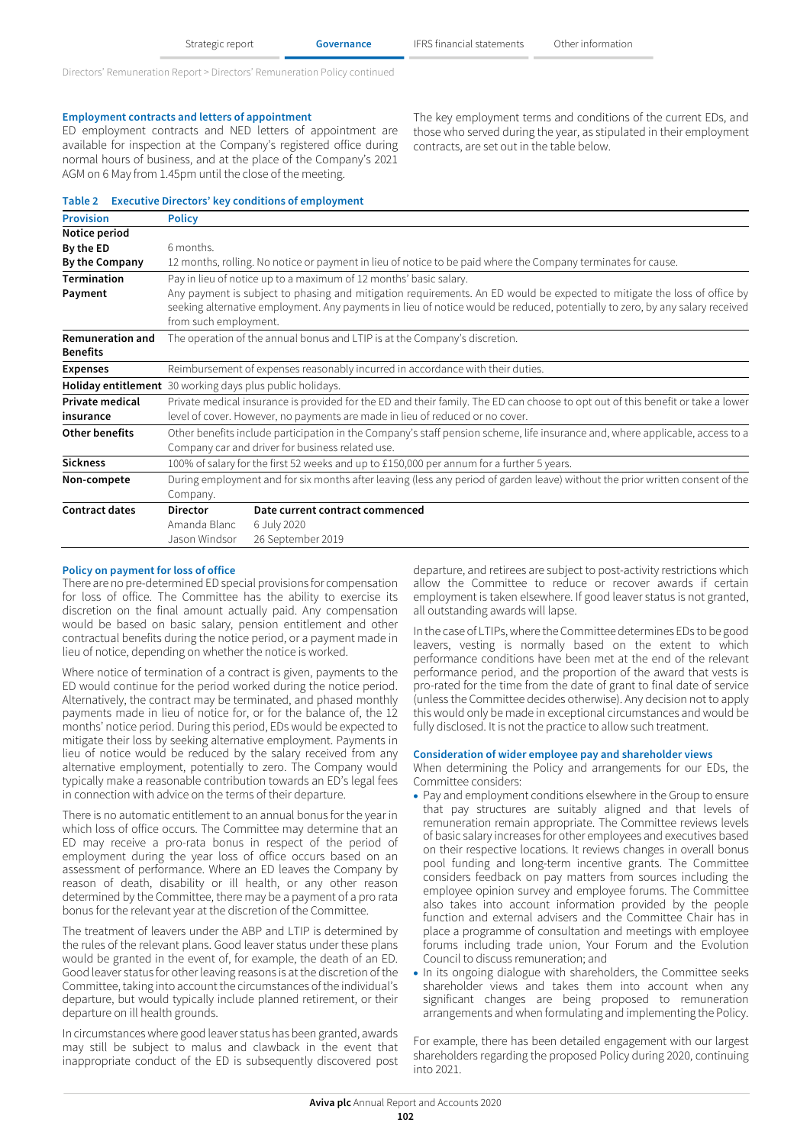#### **Employment contracts and letters of appointment**

**Provision Policy**

ED employment contracts and NED letters of appointment are available for inspection at the Company's registered office during normal hours of business, and at the place of the Company's 2021 AGM on 6 May from 1.45pm until the close of the meeting.

### **Table 2 Executive Directors' key conditions of employment**

The key employment terms and conditions of the current EDs, and those who served during the year, as stipulated in their employment contracts, are set out in the table below.

| Notice period                              |                                                                                                                                                                                                                                                                                   |                                 |  |  |  |  |
|--------------------------------------------|-----------------------------------------------------------------------------------------------------------------------------------------------------------------------------------------------------------------------------------------------------------------------------------|---------------------------------|--|--|--|--|
| By the ED                                  | 6 months.                                                                                                                                                                                                                                                                         |                                 |  |  |  |  |
| By the Company                             | 12 months, rolling. No notice or payment in lieu of notice to be paid where the Company terminates for cause.                                                                                                                                                                     |                                 |  |  |  |  |
| <b>Termination</b>                         | Pay in lieu of notice up to a maximum of 12 months' basic salary.                                                                                                                                                                                                                 |                                 |  |  |  |  |
| Payment                                    | Any payment is subject to phasing and mitigation requirements. An ED would be expected to mitigate the loss of office by<br>seeking alternative employment. Any payments in lieu of notice would be reduced, potentially to zero, by any salary received<br>from such employment. |                                 |  |  |  |  |
| <b>Remuneration and</b><br><b>Benefits</b> | The operation of the annual bonus and LTIP is at the Company's discretion.                                                                                                                                                                                                        |                                 |  |  |  |  |
| <b>Expenses</b>                            | Reimbursement of expenses reasonably incurred in accordance with their duties.                                                                                                                                                                                                    |                                 |  |  |  |  |
|                                            | Holiday entitlement 30 working days plus public holidays.                                                                                                                                                                                                                         |                                 |  |  |  |  |
| <b>Private medical</b>                     | Private medical insurance is provided for the ED and their family. The ED can choose to opt out of this benefit or take a lower                                                                                                                                                   |                                 |  |  |  |  |
| insurance                                  | level of cover. However, no payments are made in lieu of reduced or no cover.                                                                                                                                                                                                     |                                 |  |  |  |  |
| <b>Other benefits</b>                      | Other benefits include participation in the Company's staff pension scheme, life insurance and, where applicable, access to a<br>Company car and driver for business related use.                                                                                                 |                                 |  |  |  |  |
| <b>Sickness</b>                            | 100% of salary for the first 52 weeks and up to £150,000 per annum for a further 5 years.                                                                                                                                                                                         |                                 |  |  |  |  |
| Non-compete                                | During employment and for six months after leaving (less any period of garden leave) without the prior written consent of the<br>Company.                                                                                                                                         |                                 |  |  |  |  |
| <b>Contract dates</b>                      | <b>Director</b>                                                                                                                                                                                                                                                                   | Date current contract commenced |  |  |  |  |
|                                            | Amanda Blanc                                                                                                                                                                                                                                                                      | 6 July 2020                     |  |  |  |  |
|                                            | Jason Windsor                                                                                                                                                                                                                                                                     | 26 September 2019               |  |  |  |  |

## **Policy on payment for loss of office**

There are no pre-determined ED special provisions for compensation for loss of office. The Committee has the ability to exercise its discretion on the final amount actually paid. Any compensation would be based on basic salary, pension entitlement and other contractual benefits during the notice period, or a payment made in lieu of notice, depending on whether the notice is worked.

Where notice of termination of a contract is given, payments to the ED would continue for the period worked during the notice period. Alternatively, the contract may be terminated, and phased monthly payments made in lieu of notice for, or for the balance of, the 12 months' notice period. During this period, EDs would be expected to mitigate their loss by seeking alternative employment. Payments in lieu of notice would be reduced by the salary received from any alternative employment, potentially to zero. The Company would typically make a reasonable contribution towards an ED's legal fees in connection with advice on the terms of their departure.

There is no automatic entitlement to an annual bonus for the year in which loss of office occurs. The Committee may determine that an ED may receive a pro-rata bonus in respect of the period of employment during the year loss of office occurs based on an assessment of performance. Where an ED leaves the Company by reason of death, disability or ill health, or any other reason determined by the Committee, there may be a payment of a pro rata bonus for the relevant year at the discretion of the Committee.

The treatment of leavers under the ABP and LTIP is determined by the rules of the relevant plans. Good leaver status under these plans would be granted in the event of, for example, the death of an ED. Good leaver status for other leaving reasons is at the discretion of the Committee, taking into account the circumstances of the individual's departure, but would typically include planned retirement, or their departure on ill health grounds.

In circumstances where good leaver status has been granted, awards may still be subject to malus and clawback in the event that inappropriate conduct of the ED is subsequently discovered post departure, and retirees are subject to post-activity restrictions which allow the Committee to reduce or recover awards if certain employment is taken elsewhere. If good leaver status is not granted, all outstanding awards will lapse.

In the case of LTIPs, where the Committee determines EDs to be good leavers, vesting is normally based on the extent to which performance conditions have been met at the end of the relevant performance period, and the proportion of the award that vests is pro-rated for the time from the date of grant to final date of service (unless the Committee decides otherwise). Any decision not to apply this would only be made in exceptional circumstances and would be fully disclosed. It is not the practice to allow such treatment.

#### **Consideration of wider employee pay and shareholder views**

When determining the Policy and arrangements for our EDs, the Committee considers:

- Pay and employment conditions elsewhere in the Group to ensure that pay structures are suitably aligned and that levels of remuneration remain appropriate. The Committee reviews levels of basic salary increases for other employees and executives based on their respective locations. It reviews changes in overall bonus pool funding and long-term incentive grants. The Committee considers feedback on pay matters from sources including the employee opinion survey and employee forums. The Committee also takes into account information provided by the people function and external advisers and the Committee Chair has in place a programme of consultation and meetings with employee forums including trade union, Your Forum and the Evolution Council to discuss remuneration; and
- In its ongoing dialogue with shareholders, the Committee seeks shareholder views and takes them into account when any significant changes are being proposed to remuneration arrangements and when formulating and implementing the Policy.

For example, there has been detailed engagement with our largest shareholders regarding the proposed Policy during 2020, continuing into 2021.